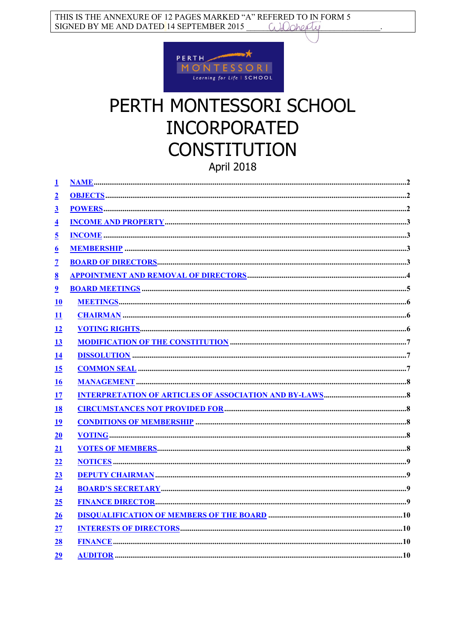

# PERTH MONTESSORI SCHOOL **INCORPORATED CONSTITUTION** April 2018

| <u>1</u>                  |  |
|---------------------------|--|
| $\overline{2}$            |  |
| $\overline{3}$            |  |
| $\overline{4}$            |  |
| <u>5</u>                  |  |
| $\underline{6}$           |  |
| $\overline{\mathcal{I}}$  |  |
| <u>8</u>                  |  |
| $\overline{\mathbf{2}}$   |  |
| 10                        |  |
| $\mathbf{\underline{11}}$ |  |
| 12                        |  |
| <u>13</u>                 |  |
| <u>14</u>                 |  |
| <u>15</u>                 |  |
| 16                        |  |
| <u>17</u>                 |  |
| <u>18</u>                 |  |
| 19                        |  |
| 20                        |  |
| 21                        |  |
| 22                        |  |
| 23                        |  |
| 24                        |  |
| 25                        |  |
| 26                        |  |
| 27                        |  |
| <u>28</u>                 |  |
| 29                        |  |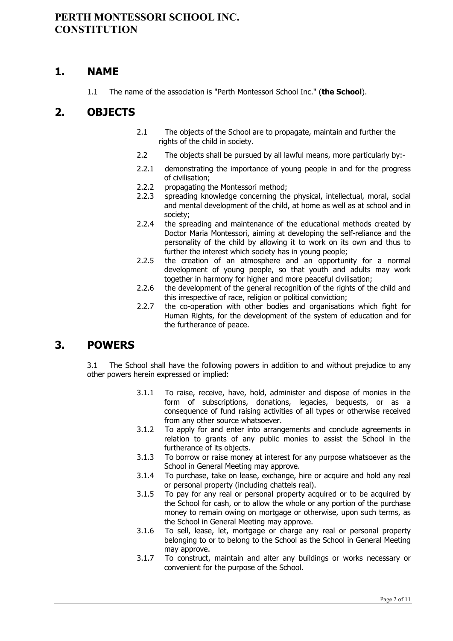#### <span id="page-1-0"></span>**1. NAME**

1.1 The name of the association is "Perth Montessori School Inc." (**the School**).

## <span id="page-1-1"></span>**2. OBJECTS**

- 2.1 The objects of the School are to propagate, maintain and further the rights of the child in society.
- 2.2 The objects shall be pursued by all lawful means, more particularly by:-
- 2.2.1 demonstrating the importance of young people in and for the progress of civilisation;
- 2.2.2 propagating the Montessori method;<br>2.2.3 spreading knowledge concerning the
- spreading knowledge concerning the physical, intellectual, moral, social and mental development of the child, at home as well as at school and in society;
- 2.2.4 the spreading and maintenance of the educational methods created by Doctor Maria Montessori, aiming at developing the self-reliance and the personality of the child by allowing it to work on its own and thus to further the interest which society has in young people;
- 2.2.5 the creation of an atmosphere and an opportunity for a normal development of young people, so that youth and adults may work together in harmony for higher and more peaceful civilisation;
- 2.2.6 the development of the general recognition of the rights of the child and this irrespective of race, religion or political conviction;
- 2.2.7 the co-operation with other bodies and organisations which fight for Human Rights, for the development of the system of education and for the furtherance of peace.

## <span id="page-1-2"></span>**3. POWERS**

3.1 The School shall have the following powers in addition to and without prejudice to any other powers herein expressed or implied:

- 3.1.1 To raise, receive, have, hold, administer and dispose of monies in the form of subscriptions, donations, legacies, bequests, or as a consequence of fund raising activities of all types or otherwise received from any other source whatsoever.
- 3.1.2 To apply for and enter into arrangements and conclude agreements in relation to grants of any public monies to assist the School in the furtherance of its objects.
- 3.1.3 To borrow or raise money at interest for any purpose whatsoever as the School in General Meeting may approve.
- 3.1.4 To purchase, take on lease, exchange, hire or acquire and hold any real or personal property (including chattels real).
- 3.1.5 To pay for any real or personal property acquired or to be acquired by the School for cash, or to allow the whole or any portion of the purchase money to remain owing on mortgage or otherwise, upon such terms, as the School in General Meeting may approve.
- 3.1.6 To sell, lease, let, mortgage or charge any real or personal property belonging to or to belong to the School as the School in General Meeting may approve.
- 3.1.7 To construct, maintain and alter any buildings or works necessary or convenient for the purpose of the School.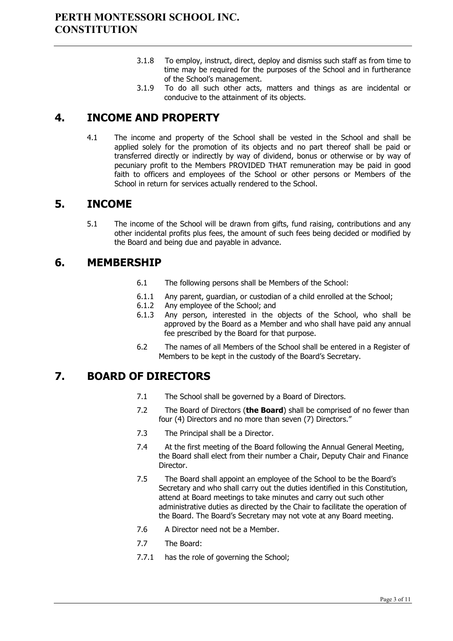- 3.1.8 To employ, instruct, direct, deploy and dismiss such staff as from time to time may be required for the purposes of the School and in furtherance of the School's management.
- 3.1.9 To do all such other acts, matters and things as are incidental or conducive to the attainment of its objects.

# <span id="page-2-0"></span>**4. INCOME AND PROPERTY**

4.1 The income and property of the School shall be vested in the School and shall be applied solely for the promotion of its objects and no part thereof shall be paid or transferred directly or indirectly by way of dividend, bonus or otherwise or by way of pecuniary profit to the Members PROVIDED THAT remuneration may be paid in good faith to officers and employees of the School or other persons or Members of the School in return for services actually rendered to the School.

## <span id="page-2-1"></span>**5. INCOME**

5.1 The income of the School will be drawn from gifts, fund raising, contributions and any other incidental profits plus fees, the amount of such fees being decided or modified by the Board and being due and payable in advance.

#### <span id="page-2-2"></span>**6. MEMBERSHIP**

- 6.1 The following persons shall be Members of the School:
- 6.1.1 Any parent, guardian, or custodian of a child enrolled at the School;<br>6.1.2 Any employee of the School: and
- 6.1.2 Any employee of the School; and<br>6.1.3 Any person, interested in the
- Any person, interested in the objects of the School, who shall be approved by the Board as a Member and who shall have paid any annual fee prescribed by the Board for that purpose.
- 6.2 The names of all Members of the School shall be entered in a Register of Members to be kept in the custody of the Board's Secretary.

## <span id="page-2-3"></span>**7. BOARD OF DIRECTORS**

- 7.1 The School shall be governed by a Board of Directors.
- 7.2 The Board of Directors (**the Board**) shall be comprised of no fewer than four (4) Directors and no more than seven (7) Directors."
- 7.3 The Principal shall be a Director.
- 7.4 At the first meeting of the Board following the Annual General Meeting, the Board shall elect from their number a Chair, Deputy Chair and Finance Director.
- 7.5 The Board shall appoint an employee of the School to be the Board's Secretary and who shall carry out the duties identified in this Constitution, attend at Board meetings to take minutes and carry out such other administrative duties as directed by the Chair to facilitate the operation of the Board. The Board's Secretary may not vote at any Board meeting.
- 7.6 A Director need not be a Member.
- 7.7 The Board:
- 7.7.1 has the role of governing the School;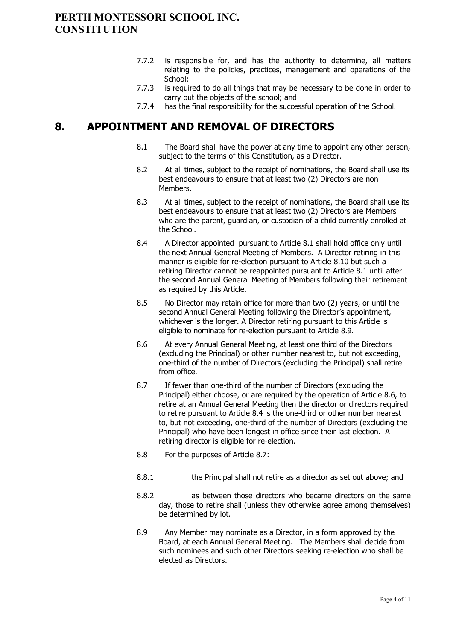- 7.7.2 is responsible for, and has the authority to determine, all matters relating to the policies, practices, management and operations of the School;
- 7.7.3 is required to do all things that may be necessary to be done in order to carry out the objects of the school; and
- 7.7.4 has the final responsibility for the successful operation of the School.

# <span id="page-3-0"></span>**8. APPOINTMENT AND REMOVAL OF DIRECTORS**

- 8.1 The Board shall have the power at any time to appoint any other person, subject to the terms of this Constitution, as a Director.
- 8.2 At all times, subject to the receipt of nominations, the Board shall use its best endeavours to ensure that at least two (2) Directors are non Members.
- 8.3 At all times, subject to the receipt of nominations, the Board shall use its best endeavours to ensure that at least two (2) Directors are Members who are the parent, guardian, or custodian of a child currently enrolled at the School.
- 8.4 A Director appointed pursuant to Article 8.1 shall hold office only until the next Annual General Meeting of Members. A Director retiring in this manner is eligible for re-election pursuant to Article 8.10 but such a retiring Director cannot be reappointed pursuant to Article 8.1 until after the second Annual General Meeting of Members following their retirement as required by this Article.
- 8.5 No Director may retain office for more than two (2) years, or until the second Annual General Meeting following the Director's appointment, whichever is the longer. A Director retiring pursuant to this Article is eligible to nominate for re-election pursuant to Article 8.9.
- 8.6 At every Annual General Meeting, at least one third of the Directors (excluding the Principal) or other number nearest to, but not exceeding, one-third of the number of Directors (excluding the Principal) shall retire from office.
- 8.7 If fewer than one-third of the number of Directors (excluding the Principal) either choose, or are required by the operation of Article 8.6, to retire at an Annual General Meeting then the director or directors required to retire pursuant to Article 8.4 is the one-third or other number nearest to, but not exceeding, one-third of the number of Directors (excluding the Principal) who have been longest in office since their last election. A retiring director is eligible for re-election.
- 8.8 For the purposes of Article 8.7:
- 8.8.1 the Principal shall not retire as a director as set out above; and
- 8.8.2 as between those directors who became directors on the same day, those to retire shall (unless they otherwise agree among themselves) be determined by lot.
- 8.9 Any Member may nominate as a Director, in a form approved by the Board, at each Annual General Meeting. The Members shall decide from such nominees and such other Directors seeking re-election who shall be elected as Directors.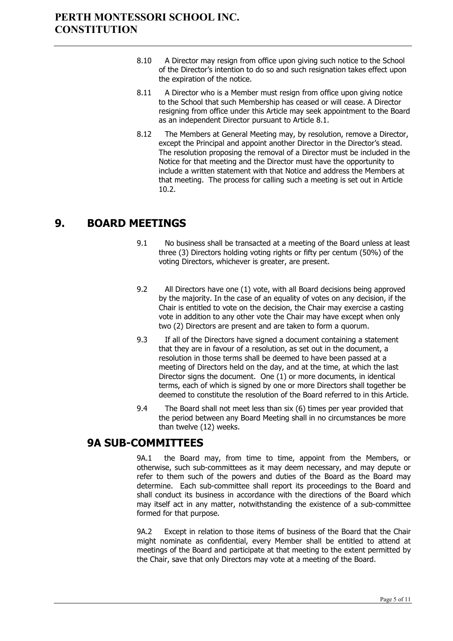- 8.10 A Director may resign from office upon giving such notice to the School of the Director's intention to do so and such resignation takes effect upon the expiration of the notice.
- 8.11 A Director who is a Member must resign from office upon giving notice to the School that such Membership has ceased or will cease. A Director resigning from office under this Article may seek appointment to the Board as an independent Director pursuant to Article 8.1.
- 8.12 The Members at General Meeting may, by resolution, remove a Director, except the Principal and appoint another Director in the Director's stead. The resolution proposing the removal of a Director must be included in the Notice for that meeting and the Director must have the opportunity to include a written statement with that Notice and address the Members at that meeting. The process for calling such a meeting is set out in Article [10.2.](#page-5-3)

## <span id="page-4-0"></span>**9. BOARD MEETINGS**

- 9.1 No business shall be transacted at a meeting of the Board unless at least three (3) Directors holding voting rights or fifty per centum (50%) of the voting Directors, whichever is greater, are present.
- 9.2 All Directors have one (1) vote, with all Board decisions being approved by the majority. In the case of an equality of votes on any decision, if the Chair is entitled to vote on the decision, the Chair may exercise a casting vote in addition to any other vote the Chair may have except when only two (2) Directors are present and are taken to form a quorum.
- 9.3 If all of the Directors have signed a document containing a statement that they are in favour of a resolution, as set out in the document, a resolution in those terms shall be deemed to have been passed at a meeting of Directors held on the day, and at the time, at which the last Director signs the document. One (1) or more documents, in identical terms, each of which is signed by one or more Directors shall together be deemed to constitute the resolution of the Board referred to in this Article.
- 9.4 The Board shall not meet less than six (6) times per year provided that the period between any Board Meeting shall in no circumstances be more than twelve (12) weeks.

## **9A SUB-COMMITTEES**

9A.1 the Board may, from time to time, appoint from the Members, or otherwise, such sub-committees as it may deem necessary, and may depute or refer to them such of the powers and duties of the Board as the Board may determine. Each sub-committee shall report its proceedings to the Board and shall conduct its business in accordance with the directions of the Board which may itself act in any matter, notwithstanding the existence of a sub-committee formed for that purpose.

9A.2 Except in relation to those items of business of the Board that the Chair might nominate as confidential, every Member shall be entitled to attend at meetings of the Board and participate at that meeting to the extent permitted by the Chair, save that only Directors may vote at a meeting of the Board.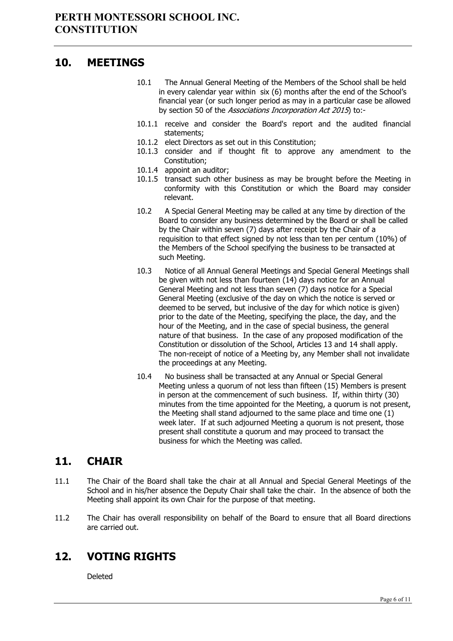#### <span id="page-5-0"></span>**10. MEETINGS**

- 10.1 The Annual General Meeting of the Members of the School shall be held in every calendar year within six (6) months after the end of the School's financial year (or such longer period as may in a particular case be allowed by section 50 of the Associations Incorporation Act 2015) to:-
- 10.1.1 receive and consider the Board's report and the audited financial statements;
- 10.1.2 elect Directors as set out in this Constitution;
- 10.1.3 consider and if thought fit to approve any amendment to the Constitution;
- 10.1.4 appoint an auditor;
- 10.1.5 transact such other business as may be brought before the Meeting in conformity with this Constitution or which the Board may consider relevant.
- <span id="page-5-3"></span>10.2 A Special General Meeting may be called at any time by direction of the Board to consider any business determined by the Board or shall be called by the Chair within seven (7) days after receipt by the Chair of a requisition to that effect signed by not less than ten per centum (10%) of the Members of the School specifying the business to be transacted at such Meeting.
- 10.3 Notice of all Annual General Meetings and Special General Meetings shall be given with not less than fourteen (14) days notice for an Annual General Meeting and not less than seven (7) days notice for a Special General Meeting (exclusive of the day on which the notice is served or deemed to be served, but inclusive of the day for which notice is given) prior to the date of the Meeting, specifying the place, the day, and the hour of the Meeting, and in the case of special business, the general nature of that business. In the case of any proposed modification of the Constitution or dissolution of the School, Articles 13 and 14 shall apply. The non-receipt of notice of a Meeting by, any Member shall not invalidate the proceedings at any Meeting.
- 10.4 No business shall be transacted at any Annual or Special General Meeting unless a quorum of not less than fifteen (15) Members is present in person at the commencement of such business. If, within thirty (30) minutes from the time appointed for the Meeting, a quorum is not present, the Meeting shall stand adjourned to the same place and time one (1) week later. If at such adjourned Meeting a quorum is not present, those present shall constitute a quorum and may proceed to transact the business for which the Meeting was called.

## <span id="page-5-1"></span>**11. CHAIR**

- 11.1 The Chair of the Board shall take the chair at all Annual and Special General Meetings of the School and in his/her absence the Deputy Chair shall take the chair. In the absence of both the Meeting shall appoint its own Chair for the purpose of that meeting.
- 11.2 The Chair has overall responsibility on behalf of the Board to ensure that all Board directions are carried out.

## <span id="page-5-2"></span>**12. VOTING RIGHTS**

Deleted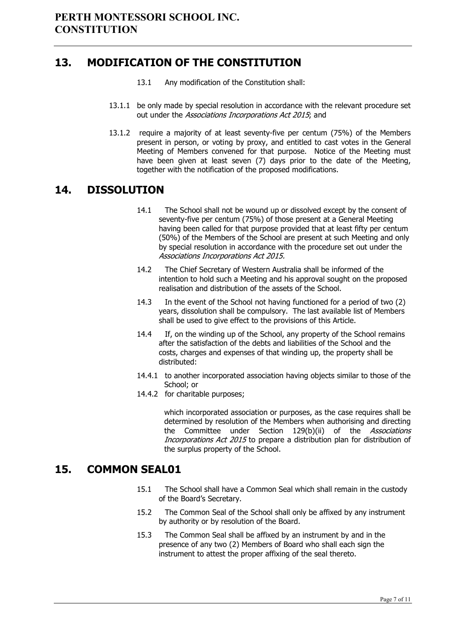## <span id="page-6-0"></span>**13. MODIFICATION OF THE CONSTITUTION**

- 13.1 Any modification of the Constitution shall:
- 13.1.1 be only made by special resolution in accordance with the relevant procedure set out under the Associations Incorporations Act 2015; and
- 13.1.2 require a majority of at least seventy-five per centum (75%) of the Members present in person, or voting by proxy, and entitled to cast votes in the General Meeting of Members convened for that purpose. Notice of the Meeting must have been given at least seven (7) days prior to the date of the Meeting, together with the notification of the proposed modifications.

## <span id="page-6-1"></span>**14. DISSOLUTION**

- 14.1 The School shall not be wound up or dissolved except by the consent of seventy-five per centum (75%) of those present at a General Meeting having been called for that purpose provided that at least fifty per centum (50%) of the Members of the School are present at such Meeting and only by special resolution in accordance with the procedure set out under the Associations Incorporations Act 2015.
- 14.2 The Chief Secretary of Western Australia shall be informed of the intention to hold such a Meeting and his approval sought on the proposed realisation and distribution of the assets of the School.
- 14.3 In the event of the School not having functioned for a period of two (2) years, dissolution shall be compulsory. The last available list of Members shall be used to give effect to the provisions of this Article.
- 14.4 If, on the winding up of the School, any property of the School remains after the satisfaction of the debts and liabilities of the School and the costs, charges and expenses of that winding up, the property shall be distributed:
- 14.4.1 to another incorporated association having objects similar to those of the School; or
- 14.4.2 for charitable purposes;

which incorporated association or purposes, as the case requires shall be determined by resolution of the Members when authorising and directing the Committee under Section 129(b)(ii) of the Associations Incorporations Act 2015 to prepare a distribution plan for distribution of the surplus property of the School.

## <span id="page-6-2"></span>**15. COMMON SEAL01**

- 15.1 The School shall have a Common Seal which shall remain in the custody of the Board's Secretary.
- 15.2 The Common Seal of the School shall only be affixed by any instrument by authority or by resolution of the Board.
- 15.3 The Common Seal shall be affixed by an instrument by and in the presence of any two (2) Members of Board who shall each sign the instrument to attest the proper affixing of the seal thereto.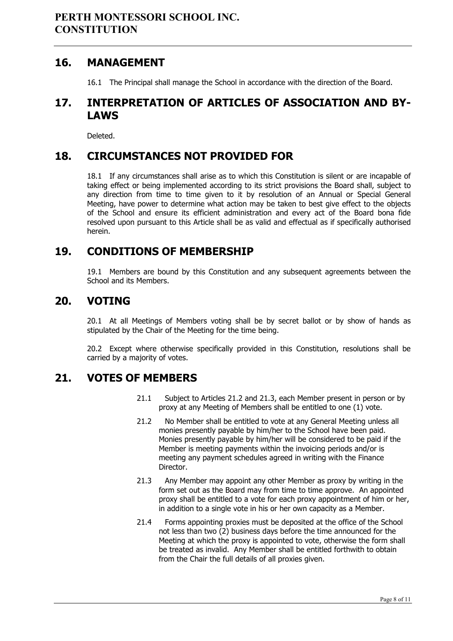#### <span id="page-7-0"></span>**16. MANAGEMENT**

16.1 The Principal shall manage the School in accordance with the direction of the Board.

## <span id="page-7-1"></span>**17. INTERPRETATION OF ARTICLES OF ASSOCIATION AND BY-LAWS**

Deleted.

## <span id="page-7-2"></span>**18. CIRCUMSTANCES NOT PROVIDED FOR**

18.1 If any circumstances shall arise as to which this Constitution is silent or are incapable of taking effect or being implemented according to its strict provisions the Board shall, subject to any direction from time to time given to it by resolution of an Annual or Special General Meeting, have power to determine what action may be taken to best give effect to the objects of the School and ensure its efficient administration and every act of the Board bona fide resolved upon pursuant to this Article shall be as valid and effectual as if specifically authorised herein.

## <span id="page-7-3"></span>**19. CONDITIONS OF MEMBERSHIP**

19.1 Members are bound by this Constitution and any subsequent agreements between the School and its Members.

#### <span id="page-7-4"></span>**20. VOTING**

20.1 At all Meetings of Members voting shall be by secret ballot or by show of hands as stipulated by the Chair of the Meeting for the time being.

20.2 Except where otherwise specifically provided in this Constitution, resolutions shall be carried by a majority of votes.

## <span id="page-7-5"></span>**21. VOTES OF MEMBERS**

- 21.1 Subject to Articles 21.2 and 21.3, each Member present in person or by proxy at any Meeting of Members shall be entitled to one (1) vote.
- 21.2 No Member shall be entitled to vote at any General Meeting unless all monies presently payable by him/her to the School have been paid. Monies presently payable by him/her will be considered to be paid if the Member is meeting payments within the invoicing periods and/or is meeting any payment schedules agreed in writing with the Finance Director.
- 21.3 Any Member may appoint any other Member as proxy by writing in the form set out as the Board may from time to time approve. An appointed proxy shall be entitled to a vote for each proxy appointment of him or her, in addition to a single vote in his or her own capacity as a Member.
- 21.4 Forms appointing proxies must be deposited at the office of the School not less than two (2) business days before the time announced for the Meeting at which the proxy is appointed to vote, otherwise the form shall be treated as invalid. Any Member shall be entitled forthwith to obtain from the Chair the full details of all proxies given.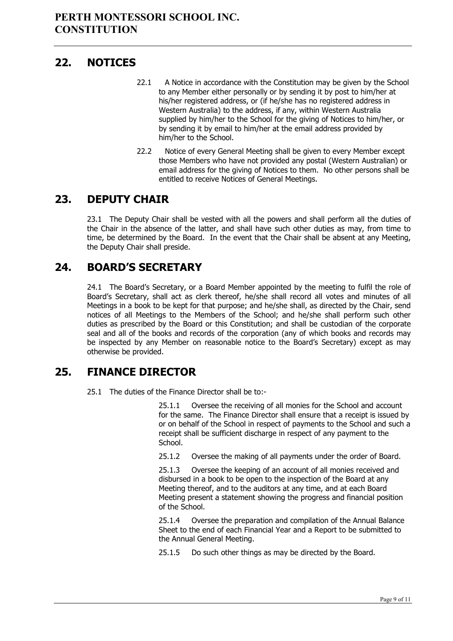## <span id="page-8-0"></span>**22. NOTICES**

- 22.1 A Notice in accordance with the Constitution may be given by the School to any Member either personally or by sending it by post to him/her at his/her registered address, or (if he/she has no registered address in Western Australia) to the address, if any, within Western Australia supplied by him/her to the School for the giving of Notices to him/her, or by sending it by email to him/her at the email address provided by him/her to the School.
- 22.2 Notice of every General Meeting shall be given to every Member except those Members who have not provided any postal (Western Australian) or email address for the giving of Notices to them. No other persons shall be entitled to receive Notices of General Meetings.

## <span id="page-8-1"></span>**23. DEPUTY CHAIR**

23.1 The Deputy Chair shall be vested with all the powers and shall perform all the duties of the Chair in the absence of the latter, and shall have such other duties as may, from time to time, be determined by the Board. In the event that the Chair shall be absent at any Meeting, the Deputy Chair shall preside.

## <span id="page-8-2"></span>**24. BOARD'S SECRETARY**

24.1 The Board's Secretary, or a Board Member appointed by the meeting to fulfil the role of Board's Secretary, shall act as clerk thereof, he/she shall record all votes and minutes of all Meetings in a book to be kept for that purpose; and he/she shall, as directed by the Chair, send notices of all Meetings to the Members of the School; and he/she shall perform such other duties as prescribed by the Board or this Constitution; and shall be custodian of the corporate seal and all of the books and records of the corporation (any of which books and records may be inspected by any Member on reasonable notice to the Board's Secretary) except as may otherwise be provided.

## <span id="page-8-3"></span>**25. FINANCE DIRECTOR**

25.1 The duties of the Finance Director shall be to:-

25.1.1 Oversee the receiving of all monies for the School and account for the same. The Finance Director shall ensure that a receipt is issued by or on behalf of the School in respect of payments to the School and such a receipt shall be sufficient discharge in respect of any payment to the School.

25.1.2 Oversee the making of all payments under the order of Board.

25.1.3 Oversee the keeping of an account of all monies received and disbursed in a book to be open to the inspection of the Board at any Meeting thereof, and to the auditors at any time, and at each Board Meeting present a statement showing the progress and financial position of the School.

25.1.4 Oversee the preparation and compilation of the Annual Balance Sheet to the end of each Financial Year and a Report to be submitted to the Annual General Meeting.

25.1.5 Do such other things as may be directed by the Board.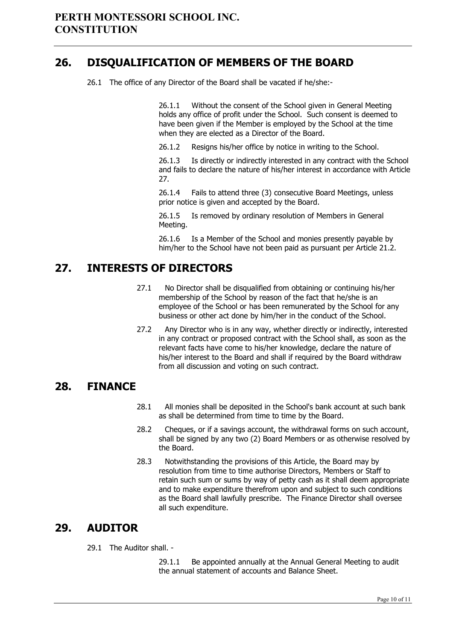## <span id="page-9-0"></span>**26. DISQUALIFICATION OF MEMBERS OF THE BOARD**

26.1 The office of any Director of the Board shall be vacated if he/she:-

26.1.1 Without the consent of the School given in General Meeting holds any office of profit under the School. Such consent is deemed to have been given if the Member is employed by the School at the time when they are elected as a Director of the Board.

26.1.2 Resigns his/her office by notice in writing to the School.

26.1.3 Is directly or indirectly interested in any contract with the School and fails to declare the nature of his/her interest in accordance with Article 27.

26.1.4 Fails to attend three (3) consecutive Board Meetings, unless prior notice is given and accepted by the Board.

26.1.5 Is removed by ordinary resolution of Members in General Meeting.

26.1.6 Is a Member of the School and monies presently payable by him/her to the School have not been paid as pursuant per Article 21.2.

## <span id="page-9-1"></span>**27. INTERESTS OF DIRECTORS**

- 27.1 No Director shall be disqualified from obtaining or continuing his/her membership of the School by reason of the fact that he/she is an employee of the School or has been remunerated by the School for any business or other act done by him/her in the conduct of the School.
- 27.2 Any Director who is in any way, whether directly or indirectly, interested in any contract or proposed contract with the School shall, as soon as the relevant facts have come to his/her knowledge, declare the nature of his/her interest to the Board and shall if required by the Board withdraw from all discussion and voting on such contract.

## <span id="page-9-2"></span>**28. FINANCE**

- 28.1 All monies shall be deposited in the School's bank account at such bank as shall be determined from time to time by the Board.
- 28.2 Cheques, or if a savings account, the withdrawal forms on such account, shall be signed by any two (2) Board Members or as otherwise resolved by the Board.
- 28.3 Notwithstanding the provisions of this Article, the Board may by resolution from time to time authorise Directors, Members or Staff to retain such sum or sums by way of petty cash as it shall deem appropriate and to make expenditure therefrom upon and subject to such conditions as the Board shall lawfully prescribe. The Finance Director shall oversee all such expenditure.

## <span id="page-9-3"></span>**29. AUDITOR**

29.1 The Auditor shall. -

29.1.1 Be appointed annually at the Annual General Meeting to audit the annual statement of accounts and Balance Sheet.